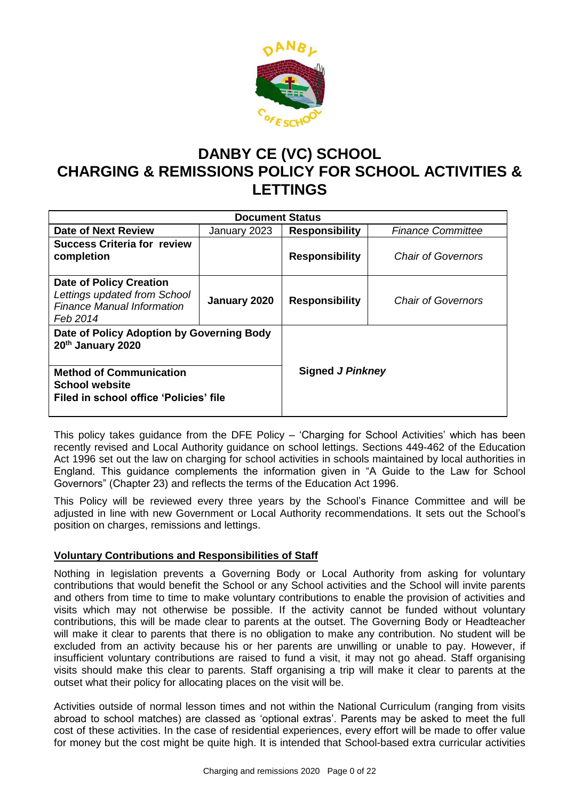

# **DANBY CE (VC) SCHOOL CHARGING & REMISSIONS POLICY FOR SCHOOL ACTIVITIES & LETTINGS**

|                                                                                                                 | <b>Document Status</b> |                         |                           |
|-----------------------------------------------------------------------------------------------------------------|------------------------|-------------------------|---------------------------|
| <b>Date of Next Review</b>                                                                                      | January 2023           | <b>Responsibility</b>   | <b>Finance Committee</b>  |
| <b>Success Criteria for review</b>                                                                              |                        |                         |                           |
| completion                                                                                                      |                        | <b>Responsibility</b>   | <b>Chair of Governors</b> |
|                                                                                                                 |                        |                         |                           |
| <b>Date of Policy Creation</b><br>Lettings updated from School<br><b>Finance Manual Information</b><br>Feb 2014 | January 2020           | <b>Responsibility</b>   | <b>Chair of Governors</b> |
| Date of Policy Adoption by Governing Body<br>20th January 2020                                                  |                        |                         |                           |
| <b>Method of Communication</b><br><b>School website</b><br>Filed in school office 'Policies' file               |                        | <b>Signed J Pinkney</b> |                           |

This policy takes guidance from the DFE Policy – 'Charging for School Activities' which has been recently revised and Local Authority guidance on school lettings. Sections 449-462 of the Education Act 1996 set out the law on charging for school activities in schools maintained by local authorities in England. This guidance complements the information given in "A Guide to the Law for School Governors" (Chapter 23) and reflects the terms of the Education Act 1996.

This Policy will be reviewed every three years by the School's Finance Committee and will be adjusted in line with new Government or Local Authority recommendations. It sets out the School's position on charges, remissions and lettings.

# **Voluntary Contributions and Responsibilities of Staff**

Nothing in legislation prevents a Governing Body or Local Authority from asking for voluntary contributions that would benefit the School or any School activities and the School will invite parents and others from time to time to make voluntary contributions to enable the provision of activities and visits which may not otherwise be possible. If the activity cannot be funded without voluntary contributions, this will be made clear to parents at the outset. The Governing Body or Headteacher will make it clear to parents that there is no obligation to make any contribution. No student will be excluded from an activity because his or her parents are unwilling or unable to pay. However, if insufficient voluntary contributions are raised to fund a visit, it may not go ahead. Staff organising visits should make this clear to parents. Staff organising a trip will make it clear to parents at the outset what their policy for allocating places on the visit will be.

Activities outside of normal lesson times and not within the National Curriculum (ranging from visits abroad to school matches) are classed as 'optional extras'. Parents may be asked to meet the full cost of these activities. In the case of residential experiences, every effort will be made to offer value for money but the cost might be quite high. It is intended that School-based extra curricular activities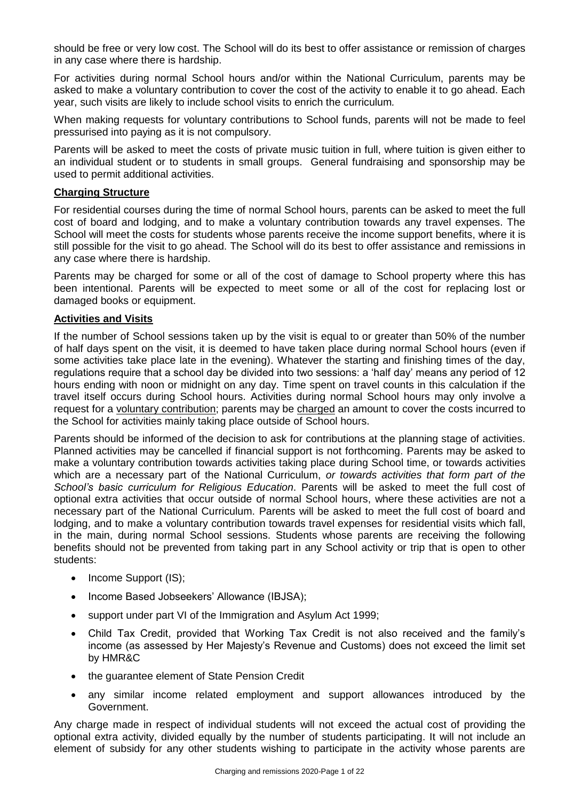should be free or very low cost. The School will do its best to offer assistance or remission of charges in any case where there is hardship.

For activities during normal School hours and/or within the National Curriculum, parents may be asked to make a voluntary contribution to cover the cost of the activity to enable it to go ahead. Each year, such visits are likely to include school visits to enrich the curriculum*.*

When making requests for voluntary contributions to School funds, parents will not be made to feel pressurised into paying as it is not compulsory.

Parents will be asked to meet the costs of private music tuition in full, where tuition is given either to an individual student or to students in small groups. General fundraising and sponsorship may be used to permit additional activities.

### **Charging Structure**

For residential courses during the time of normal School hours, parents can be asked to meet the full cost of board and lodging, and to make a voluntary contribution towards any travel expenses. The School will meet the costs for students whose parents receive the income support benefits, where it is still possible for the visit to go ahead. The School will do its best to offer assistance and remissions in any case where there is hardship.

Parents may be charged for some or all of the cost of damage to School property where this has been intentional. Parents will be expected to meet some or all of the cost for replacing lost or damaged books or equipment.

#### **Activities and Visits**

If the number of School sessions taken up by the visit is equal to or greater than 50% of the number of half days spent on the visit, it is deemed to have taken place during normal School hours (even if some activities take place late in the evening). Whatever the starting and finishing times of the day, regulations require that a school day be divided into two sessions: a 'half day' means any period of 12 hours ending with noon or midnight on any day. Time spent on travel counts in this calculation if the travel itself occurs during School hours. Activities during normal School hours may only involve a request for a voluntary contribution; parents may be charged an amount to cover the costs incurred to the School for activities mainly taking place outside of School hours.

Parents should be informed of the decision to ask for contributions at the planning stage of activities. Planned activities may be cancelled if financial support is not forthcoming. Parents may be asked to make a voluntary contribution towards activities taking place during School time, or towards activities which are a necessary part of the National Curriculum, *or towards activities that form part of the School's basic curriculum for Religious Education*. Parents will be asked to meet the full cost of optional extra activities that occur outside of normal School hours, where these activities are not a necessary part of the National Curriculum. Parents will be asked to meet the full cost of board and lodging, and to make a voluntary contribution towards travel expenses for residential visits which fall, in the main, during normal School sessions. Students whose parents are receiving the following benefits should not be prevented from taking part in any School activity or trip that is open to other students:

- Income Support (IS);
- Income Based Jobseekers' Allowance (IBJSA);
- support under part VI of the Immigration and Asylum Act 1999;
- Child Tax Credit, provided that Working Tax Credit is not also received and the family's income (as assessed by Her Majesty's Revenue and Customs) does not exceed the limit set by HMR&C
- the guarantee element of State Pension Credit
- any similar income related employment and support allowances introduced by the Government.

Any charge made in respect of individual students will not exceed the actual cost of providing the optional extra activity, divided equally by the number of students participating. It will not include an element of subsidy for any other students wishing to participate in the activity whose parents are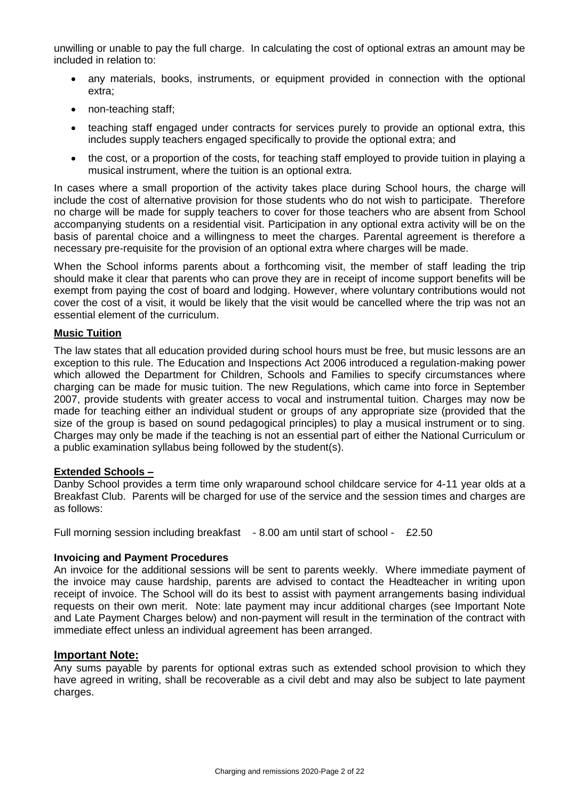unwilling or unable to pay the full charge. In calculating the cost of optional extras an amount may be included in relation to:

- any materials, books, instruments, or equipment provided in connection with the optional extra;
- non-teaching staff:
- teaching staff engaged under contracts for services purely to provide an optional extra, this includes supply teachers engaged specifically to provide the optional extra; and
- the cost, or a proportion of the costs, for teaching staff employed to provide tuition in playing a musical instrument, where the tuition is an optional extra.

In cases where a small proportion of the activity takes place during School hours, the charge will include the cost of alternative provision for those students who do not wish to participate. Therefore no charge will be made for supply teachers to cover for those teachers who are absent from School accompanying students on a residential visit. Participation in any optional extra activity will be on the basis of parental choice and a willingness to meet the charges. Parental agreement is therefore a necessary pre-requisite for the provision of an optional extra where charges will be made.

When the School informs parents about a forthcoming visit, the member of staff leading the trip should make it clear that parents who can prove they are in receipt of income support benefits will be exempt from paying the cost of board and lodging. However, where voluntary contributions would not cover the cost of a visit, it would be likely that the visit would be cancelled where the trip was not an essential element of the curriculum.

#### **Music Tuition**

The law states that all education provided during school hours must be free, but music lessons are an exception to this rule. The Education and Inspections Act 2006 introduced a regulation-making power which allowed the Department for Children, Schools and Families to specify circumstances where charging can be made for music tuition. The new Regulations, which came into force in September 2007, provide students with greater access to vocal and instrumental tuition. Charges may now be made for teaching either an individual student or groups of any appropriate size (provided that the size of the group is based on sound pedagogical principles) to play a musical instrument or to sing. Charges may only be made if the teaching is not an essential part of either the National Curriculum or a public examination syllabus being followed by the student(s).

#### **Extended Schools –**

Danby School provides a term time only wraparound school childcare service for 4-11 year olds at a Breakfast Club. Parents will be charged for use of the service and the session times and charges are as follows:

Full morning session including breakfast - 8.00 am until start of school - £2.50

#### **Invoicing and Payment Procedures**

An invoice for the additional sessions will be sent to parents weekly. Where immediate payment of the invoice may cause hardship, parents are advised to contact the Headteacher in writing upon receipt of invoice. The School will do its best to assist with payment arrangements basing individual requests on their own merit. Note: late payment may incur additional charges (see Important Note and Late Payment Charges below) and non-payment will result in the termination of the contract with immediate effect unless an individual agreement has been arranged.

#### **Important Note:**

Any sums payable by parents for optional extras such as extended school provision to which they have agreed in writing, shall be recoverable as a civil debt and may also be subject to late payment charges.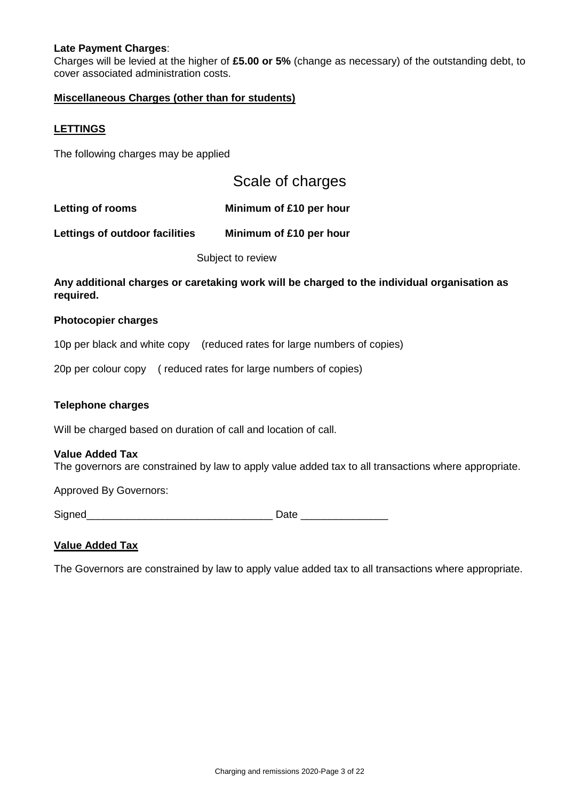### **Late Payment Charges**:

Charges will be levied at the higher of **£5.00 or 5%** (change as necessary) of the outstanding debt, to cover associated administration costs.

### **Miscellaneous Charges (other than for students)**

#### **LETTINGS**

The following charges may be applied

| Scale of charges |  |  |  |  |
|------------------|--|--|--|--|
|------------------|--|--|--|--|

**Letting of rooms Minimum of £10 per hour**

**Lettings of outdoor facilities Minimum of £10 per hour**

Subject to review

**Any additional charges or caretaking work will be charged to the individual organisation as required.**

#### **Photocopier charges**

10p per black and white copy (reduced rates for large numbers of copies)

20p per colour copy ( reduced rates for large numbers of copies)

#### **Telephone charges**

Will be charged based on duration of call and location of call.

#### **Value Added Tax**

The governors are constrained by law to apply value added tax to all transactions where appropriate.

Approved By Governors:

Signed\_\_\_\_\_\_\_\_\_\_\_\_\_\_\_\_\_\_\_\_\_\_\_\_\_\_\_\_\_\_\_\_ Date \_\_\_\_\_\_\_\_\_\_\_\_\_\_\_

#### **Value Added Tax**

The Governors are constrained by law to apply value added tax to all transactions where appropriate.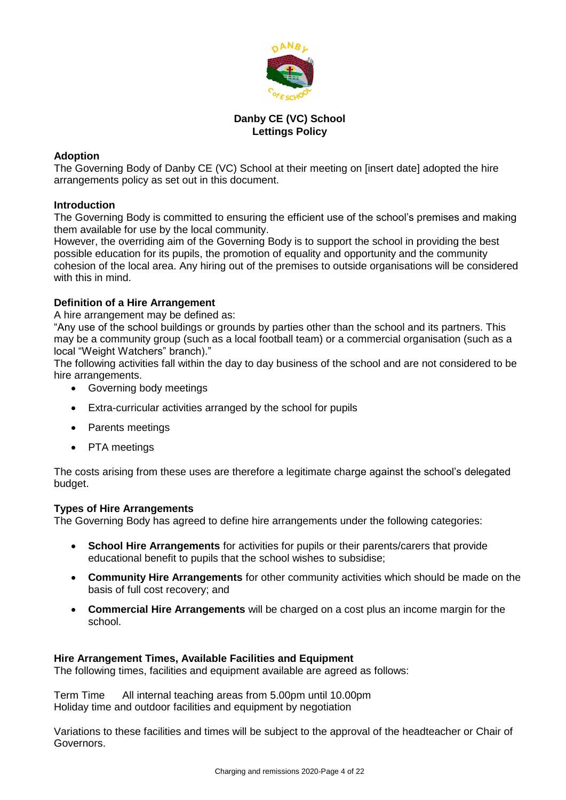

# **Danby CE (VC) School Lettings Policy**

# **Adoption**

The Governing Body of Danby CE (VC) School at their meeting on [insert date] adopted the hire arrangements policy as set out in this document.

# **Introduction**

The Governing Body is committed to ensuring the efficient use of the school's premises and making them available for use by the local community.

However, the overriding aim of the Governing Body is to support the school in providing the best possible education for its pupils, the promotion of equality and opportunity and the community cohesion of the local area. Any hiring out of the premises to outside organisations will be considered with this in mind.

# **Definition of a Hire Arrangement**

A hire arrangement may be defined as:

"Any use of the school buildings or grounds by parties other than the school and its partners. This may be a community group (such as a local football team) or a commercial organisation (such as a local "Weight Watchers" branch)."

The following activities fall within the day to day business of the school and are not considered to be hire arrangements.

- Governing body meetings
- Extra-curricular activities arranged by the school for pupils
- Parents meetings
- PTA meetings

The costs arising from these uses are therefore a legitimate charge against the school's delegated budget.

# **Types of Hire Arrangements**

The Governing Body has agreed to define hire arrangements under the following categories:

- **School Hire Arrangements** for activities for pupils or their parents/carers that provide educational benefit to pupils that the school wishes to subsidise;
- **Community Hire Arrangements** for other community activities which should be made on the basis of full cost recovery; and
- **Commercial Hire Arrangements** will be charged on a cost plus an income margin for the school.

# **Hire Arrangement Times, Available Facilities and Equipment**

The following times, facilities and equipment available are agreed as follows:

Term Time All internal teaching areas from 5.00pm until 10.00pm Holiday time and outdoor facilities and equipment by negotiation

Variations to these facilities and times will be subject to the approval of the headteacher or Chair of Governors.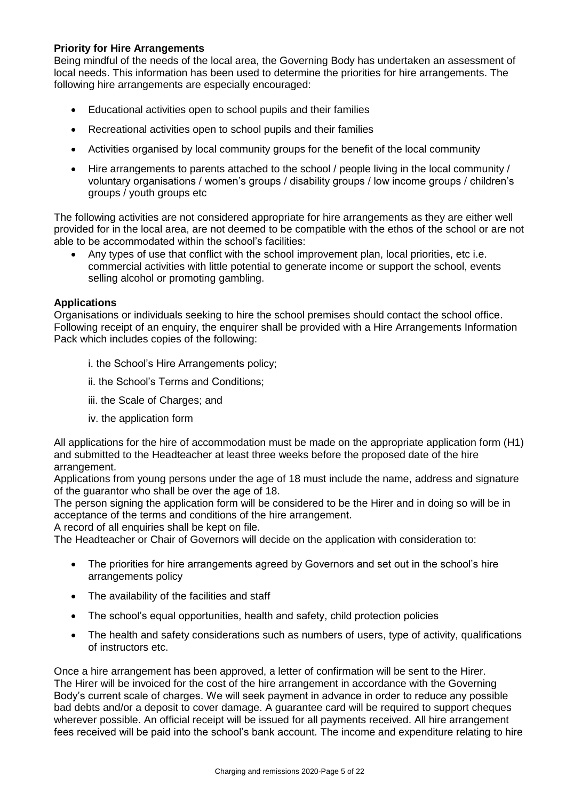# **Priority for Hire Arrangements**

Being mindful of the needs of the local area, the Governing Body has undertaken an assessment of local needs. This information has been used to determine the priorities for hire arrangements. The following hire arrangements are especially encouraged:

- Educational activities open to school pupils and their families
- Recreational activities open to school pupils and their families
- Activities organised by local community groups for the benefit of the local community
- Hire arrangements to parents attached to the school / people living in the local community / voluntary organisations / women's groups / disability groups / low income groups / children's groups / youth groups etc

The following activities are not considered appropriate for hire arrangements as they are either well provided for in the local area, are not deemed to be compatible with the ethos of the school or are not able to be accommodated within the school's facilities:

 Any types of use that conflict with the school improvement plan, local priorities, etc i.e. commercial activities with little potential to generate income or support the school, events selling alcohol or promoting gambling.

#### **Applications**

Organisations or individuals seeking to hire the school premises should contact the school office. Following receipt of an enquiry, the enquirer shall be provided with a Hire Arrangements Information Pack which includes copies of the following:

- i. the School's Hire Arrangements policy;
- ii. the School's Terms and Conditions;
- iii. the Scale of Charges; and
- iv. the application form

All applications for the hire of accommodation must be made on the appropriate application form (H1) and submitted to the Headteacher at least three weeks before the proposed date of the hire arrangement.

Applications from young persons under the age of 18 must include the name, address and signature of the guarantor who shall be over the age of 18.

The person signing the application form will be considered to be the Hirer and in doing so will be in acceptance of the terms and conditions of the hire arrangement.

A record of all enquiries shall be kept on file.

The Headteacher or Chair of Governors will decide on the application with consideration to:

- The priorities for hire arrangements agreed by Governors and set out in the school's hire arrangements policy
- The availability of the facilities and staff
- The school's equal opportunities, health and safety, child protection policies
- The health and safety considerations such as numbers of users, type of activity, qualifications of instructors etc.

Once a hire arrangement has been approved, a letter of confirmation will be sent to the Hirer. The Hirer will be invoiced for the cost of the hire arrangement in accordance with the Governing Body's current scale of charges. We will seek payment in advance in order to reduce any possible bad debts and/or a deposit to cover damage. A guarantee card will be required to support cheques wherever possible. An official receipt will be issued for all payments received. All hire arrangement fees received will be paid into the school's bank account. The income and expenditure relating to hire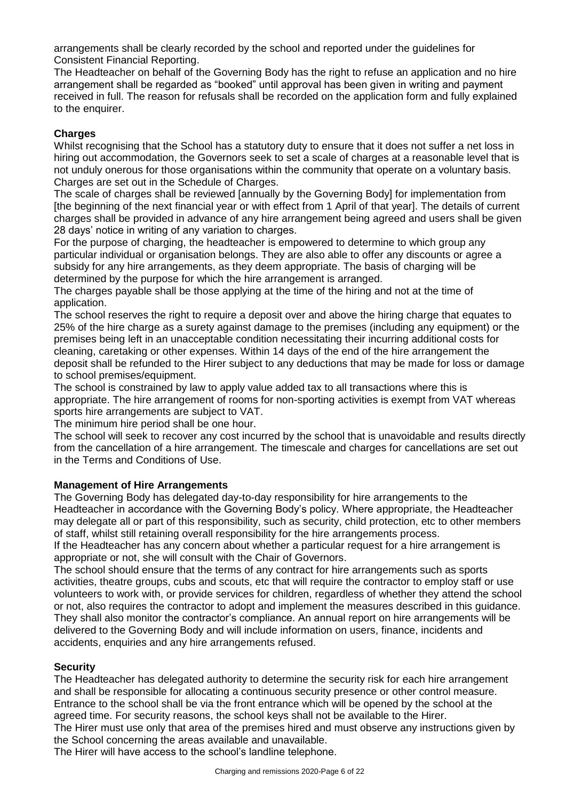arrangements shall be clearly recorded by the school and reported under the guidelines for Consistent Financial Reporting.

The Headteacher on behalf of the Governing Body has the right to refuse an application and no hire arrangement shall be regarded as "booked" until approval has been given in writing and payment received in full. The reason for refusals shall be recorded on the application form and fully explained to the enquirer.

# **Charges**

Whilst recognising that the School has a statutory duty to ensure that it does not suffer a net loss in hiring out accommodation, the Governors seek to set a scale of charges at a reasonable level that is not unduly onerous for those organisations within the community that operate on a voluntary basis. Charges are set out in the Schedule of Charges.

The scale of charges shall be reviewed [annually by the Governing Body] for implementation from [the beginning of the next financial year or with effect from 1 April of that year]. The details of current charges shall be provided in advance of any hire arrangement being agreed and users shall be given 28 days' notice in writing of any variation to charges.

For the purpose of charging, the headteacher is empowered to determine to which group any particular individual or organisation belongs. They are also able to offer any discounts or agree a subsidy for any hire arrangements, as they deem appropriate. The basis of charging will be determined by the purpose for which the hire arrangement is arranged.

The charges payable shall be those applying at the time of the hiring and not at the time of application.

The school reserves the right to require a deposit over and above the hiring charge that equates to 25% of the hire charge as a surety against damage to the premises (including any equipment) or the premises being left in an unacceptable condition necessitating their incurring additional costs for cleaning, caretaking or other expenses. Within 14 days of the end of the hire arrangement the deposit shall be refunded to the Hirer subject to any deductions that may be made for loss or damage to school premises/equipment.

The school is constrained by law to apply value added tax to all transactions where this is appropriate. The hire arrangement of rooms for non-sporting activities is exempt from VAT whereas sports hire arrangements are subject to VAT.

The minimum hire period shall be one hour.

The school will seek to recover any cost incurred by the school that is unavoidable and results directly from the cancellation of a hire arrangement. The timescale and charges for cancellations are set out in the Terms and Conditions of Use.

# **Management of Hire Arrangements**

The Governing Body has delegated day-to-day responsibility for hire arrangements to the Headteacher in accordance with the Governing Body's policy. Where appropriate, the Headteacher may delegate all or part of this responsibility, such as security, child protection, etc to other members of staff, whilst still retaining overall responsibility for the hire arrangements process.

If the Headteacher has any concern about whether a particular request for a hire arrangement is appropriate or not, she will consult with the Chair of Governors.

The school should ensure that the terms of any contract for hire arrangements such as sports activities, theatre groups, cubs and scouts, etc that will require the contractor to employ staff or use volunteers to work with, or provide services for children, regardless of whether they attend the school or not, also requires the contractor to adopt and implement the measures described in this guidance. They shall also monitor the contractor's compliance. An annual report on hire arrangements will be delivered to the Governing Body and will include information on users, finance, incidents and accidents, enquiries and any hire arrangements refused.

# **Security**

The Headteacher has delegated authority to determine the security risk for each hire arrangement and shall be responsible for allocating a continuous security presence or other control measure. Entrance to the school shall be via the front entrance which will be opened by the school at the agreed time. For security reasons, the school keys shall not be available to the Hirer.

The Hirer must use only that area of the premises hired and must observe any instructions given by the School concerning the areas available and unavailable.

The Hirer will have access to the school's landline telephone.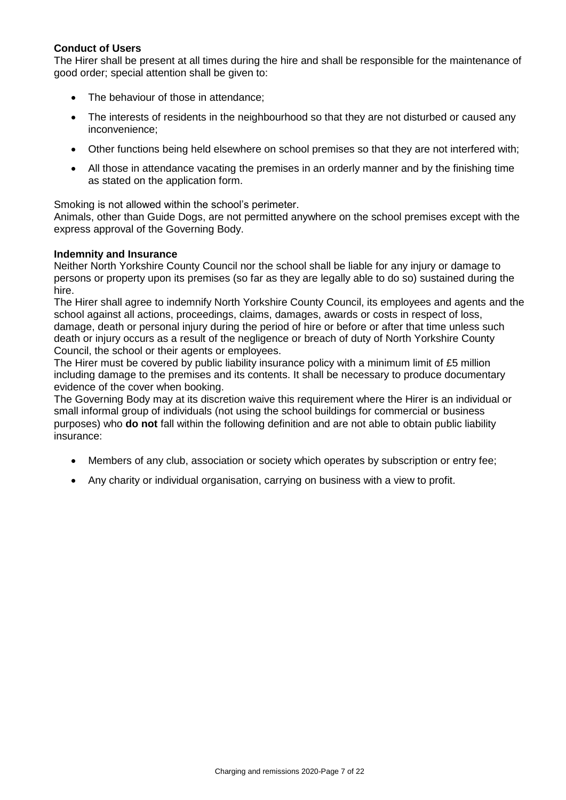# **Conduct of Users**

The Hirer shall be present at all times during the hire and shall be responsible for the maintenance of good order; special attention shall be given to:

- The behaviour of those in attendance;
- The interests of residents in the neighbourhood so that they are not disturbed or caused any inconvenience;
- Other functions being held elsewhere on school premises so that they are not interfered with;
- All those in attendance vacating the premises in an orderly manner and by the finishing time as stated on the application form.

Smoking is not allowed within the school's perimeter.

Animals, other than Guide Dogs, are not permitted anywhere on the school premises except with the express approval of the Governing Body.

#### **Indemnity and Insurance**

Neither North Yorkshire County Council nor the school shall be liable for any injury or damage to persons or property upon its premises (so far as they are legally able to do so) sustained during the hire.

The Hirer shall agree to indemnify North Yorkshire County Council, its employees and agents and the school against all actions, proceedings, claims, damages, awards or costs in respect of loss, damage, death or personal injury during the period of hire or before or after that time unless such death or injury occurs as a result of the negligence or breach of duty of North Yorkshire County Council, the school or their agents or employees.

The Hirer must be covered by public liability insurance policy with a minimum limit of £5 million including damage to the premises and its contents. It shall be necessary to produce documentary evidence of the cover when booking.

The Governing Body may at its discretion waive this requirement where the Hirer is an individual or small informal group of individuals (not using the school buildings for commercial or business purposes) who **do not** fall within the following definition and are not able to obtain public liability insurance:

- Members of any club, association or society which operates by subscription or entry fee;
- Any charity or individual organisation, carrying on business with a view to profit.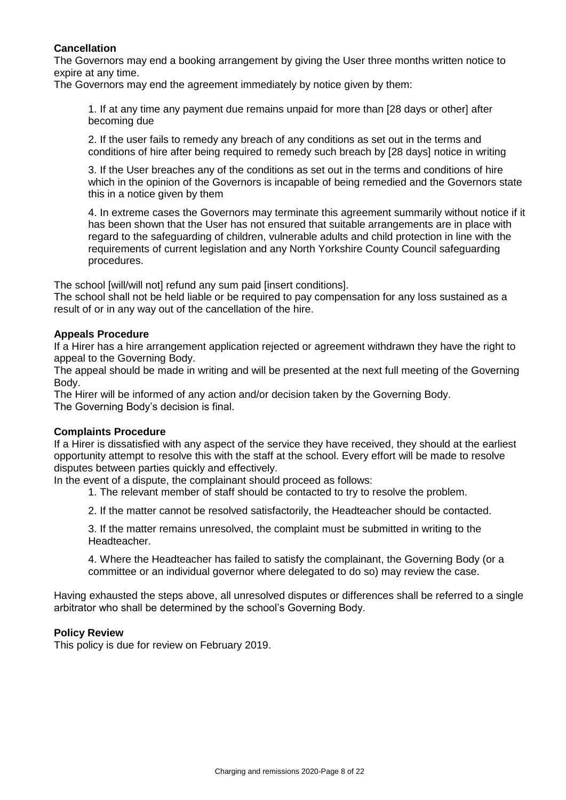# **Cancellation**

The Governors may end a booking arrangement by giving the User three months written notice to expire at any time.

The Governors may end the agreement immediately by notice given by them:

1. If at any time any payment due remains unpaid for more than [28 days or other] after becoming due

2. If the user fails to remedy any breach of any conditions as set out in the terms and conditions of hire after being required to remedy such breach by [28 days] notice in writing

3. If the User breaches any of the conditions as set out in the terms and conditions of hire which in the opinion of the Governors is incapable of being remedied and the Governors state this in a notice given by them

4. In extreme cases the Governors may terminate this agreement summarily without notice if it has been shown that the User has not ensured that suitable arrangements are in place with regard to the safeguarding of children, vulnerable adults and child protection in line with the requirements of current legislation and any North Yorkshire County Council safeguarding procedures.

The school [will/will not] refund any sum paid [insert conditions].

The school shall not be held liable or be required to pay compensation for any loss sustained as a result of or in any way out of the cancellation of the hire.

# **Appeals Procedure**

If a Hirer has a hire arrangement application rejected or agreement withdrawn they have the right to appeal to the Governing Body.

The appeal should be made in writing and will be presented at the next full meeting of the Governing Body.

The Hirer will be informed of any action and/or decision taken by the Governing Body. The Governing Body's decision is final.

#### **Complaints Procedure**

If a Hirer is dissatisfied with any aspect of the service they have received, they should at the earliest opportunity attempt to resolve this with the staff at the school. Every effort will be made to resolve disputes between parties quickly and effectively.

In the event of a dispute, the complainant should proceed as follows:

1. The relevant member of staff should be contacted to try to resolve the problem.

2. If the matter cannot be resolved satisfactorily, the Headteacher should be contacted.

3. If the matter remains unresolved, the complaint must be submitted in writing to the Headteacher.

4. Where the Headteacher has failed to satisfy the complainant, the Governing Body (or a committee or an individual governor where delegated to do so) may review the case.

Having exhausted the steps above, all unresolved disputes or differences shall be referred to a single arbitrator who shall be determined by the school's Governing Body.

#### **Policy Review**

This policy is due for review on February 2019.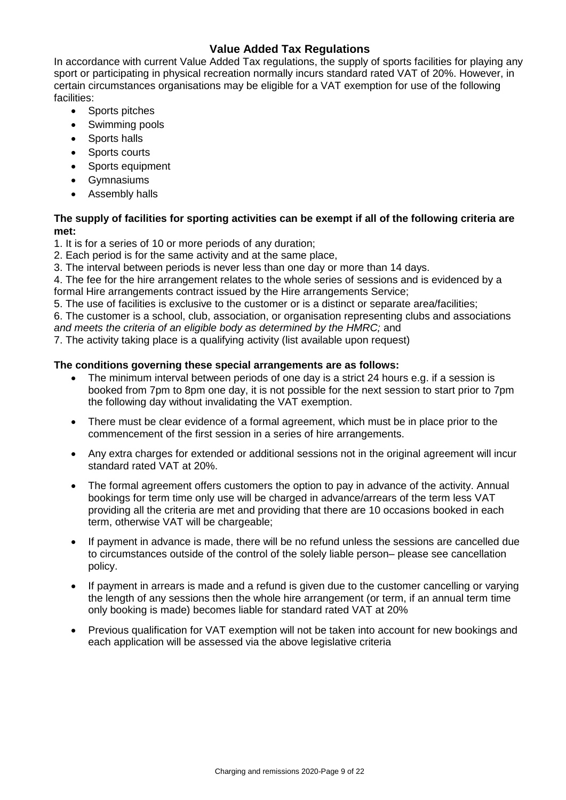# **Value Added Tax Regulations**

In accordance with current Value Added Tax regulations, the supply of sports facilities for playing any sport or participating in physical recreation normally incurs standard rated VAT of 20%. However, in certain circumstances organisations may be eligible for a VAT exemption for use of the following facilities:

- Sports pitches
- Swimming pools
- Sports halls
- Sports courts
- Sports equipment
- Gymnasiums
- Assembly halls

# **The supply of facilities for sporting activities can be exempt if all of the following criteria are met:**

1. It is for a series of 10 or more periods of any duration;

2. Each period is for the same activity and at the same place,

3. The interval between periods is never less than one day or more than 14 days.

4. The fee for the hire arrangement relates to the whole series of sessions and is evidenced by a formal Hire arrangements contract issued by the Hire arrangements Service;

5. The use of facilities is exclusive to the customer or is a distinct or separate area/facilities;

6. The customer is a school, club, association, or organisation representing clubs and associations *and meets the criteria of an eligible body as determined by the HMRC;* and

7. The activity taking place is a qualifying activity (list available upon request)

#### **The conditions governing these special arrangements are as follows:**

- The minimum interval between periods of one day is a strict 24 hours e.g. if a session is booked from 7pm to 8pm one day, it is not possible for the next session to start prior to 7pm the following day without invalidating the VAT exemption.
- There must be clear evidence of a formal agreement, which must be in place prior to the commencement of the first session in a series of hire arrangements.
- Any extra charges for extended or additional sessions not in the original agreement will incur standard rated VAT at 20%.
- The formal agreement offers customers the option to pay in advance of the activity. Annual bookings for term time only use will be charged in advance/arrears of the term less VAT providing all the criteria are met and providing that there are 10 occasions booked in each term, otherwise VAT will be chargeable;
- If payment in advance is made, there will be no refund unless the sessions are cancelled due to circumstances outside of the control of the solely liable person– please see cancellation policy.
- If payment in arrears is made and a refund is given due to the customer cancelling or varying the length of any sessions then the whole hire arrangement (or term, if an annual term time only booking is made) becomes liable for standard rated VAT at 20%
- Previous qualification for VAT exemption will not be taken into account for new bookings and each application will be assessed via the above legislative criteria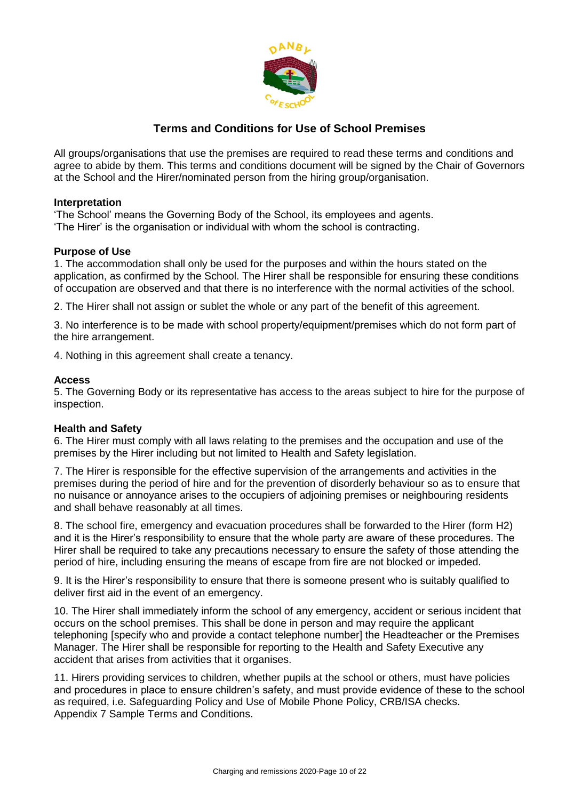

# **Terms and Conditions for Use of School Premises**

All groups/organisations that use the premises are required to read these terms and conditions and agree to abide by them. This terms and conditions document will be signed by the Chair of Governors at the School and the Hirer/nominated person from the hiring group/organisation.

# **Interpretation**

'The School' means the Governing Body of the School, its employees and agents. 'The Hirer' is the organisation or individual with whom the school is contracting.

# **Purpose of Use**

1. The accommodation shall only be used for the purposes and within the hours stated on the application, as confirmed by the School. The Hirer shall be responsible for ensuring these conditions of occupation are observed and that there is no interference with the normal activities of the school.

2. The Hirer shall not assign or sublet the whole or any part of the benefit of this agreement.

3. No interference is to be made with school property/equipment/premises which do not form part of the hire arrangement.

4. Nothing in this agreement shall create a tenancy.

# **Access**

5. The Governing Body or its representative has access to the areas subject to hire for the purpose of inspection.

# **Health and Safety**

6. The Hirer must comply with all laws relating to the premises and the occupation and use of the premises by the Hirer including but not limited to Health and Safety legislation.

7. The Hirer is responsible for the effective supervision of the arrangements and activities in the premises during the period of hire and for the prevention of disorderly behaviour so as to ensure that no nuisance or annoyance arises to the occupiers of adjoining premises or neighbouring residents and shall behave reasonably at all times.

8. The school fire, emergency and evacuation procedures shall be forwarded to the Hirer (form H2) and it is the Hirer's responsibility to ensure that the whole party are aware of these procedures. The Hirer shall be required to take any precautions necessary to ensure the safety of those attending the period of hire, including ensuring the means of escape from fire are not blocked or impeded.

9. It is the Hirer's responsibility to ensure that there is someone present who is suitably qualified to deliver first aid in the event of an emergency.

10. The Hirer shall immediately inform the school of any emergency, accident or serious incident that occurs on the school premises. This shall be done in person and may require the applicant telephoning [specify who and provide a contact telephone number] the Headteacher or the Premises Manager. The Hirer shall be responsible for reporting to the Health and Safety Executive any accident that arises from activities that it organises.

11. Hirers providing services to children, whether pupils at the school or others, must have policies and procedures in place to ensure children's safety, and must provide evidence of these to the school as required, i.e. Safeguarding Policy and Use of Mobile Phone Policy, CRB/ISA checks. Appendix 7 Sample Terms and Conditions.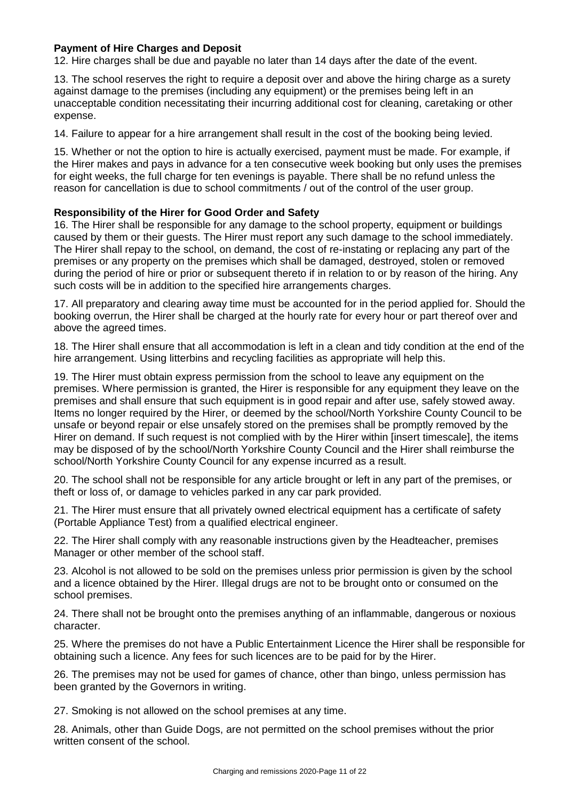# **Payment of Hire Charges and Deposit**

12. Hire charges shall be due and payable no later than 14 days after the date of the event.

13. The school reserves the right to require a deposit over and above the hiring charge as a surety against damage to the premises (including any equipment) or the premises being left in an unacceptable condition necessitating their incurring additional cost for cleaning, caretaking or other expense.

14. Failure to appear for a hire arrangement shall result in the cost of the booking being levied.

15. Whether or not the option to hire is actually exercised, payment must be made. For example, if the Hirer makes and pays in advance for a ten consecutive week booking but only uses the premises for eight weeks, the full charge for ten evenings is payable. There shall be no refund unless the reason for cancellation is due to school commitments / out of the control of the user group.

# **Responsibility of the Hirer for Good Order and Safety**

16. The Hirer shall be responsible for any damage to the school property, equipment or buildings caused by them or their guests. The Hirer must report any such damage to the school immediately. The Hirer shall repay to the school, on demand, the cost of re-instating or replacing any part of the premises or any property on the premises which shall be damaged, destroyed, stolen or removed during the period of hire or prior or subsequent thereto if in relation to or by reason of the hiring. Any such costs will be in addition to the specified hire arrangements charges.

17. All preparatory and clearing away time must be accounted for in the period applied for. Should the booking overrun, the Hirer shall be charged at the hourly rate for every hour or part thereof over and above the agreed times.

18. The Hirer shall ensure that all accommodation is left in a clean and tidy condition at the end of the hire arrangement. Using litterbins and recycling facilities as appropriate will help this.

19. The Hirer must obtain express permission from the school to leave any equipment on the premises. Where permission is granted, the Hirer is responsible for any equipment they leave on the premises and shall ensure that such equipment is in good repair and after use, safely stowed away. Items no longer required by the Hirer, or deemed by the school/North Yorkshire County Council to be unsafe or beyond repair or else unsafely stored on the premises shall be promptly removed by the Hirer on demand. If such request is not complied with by the Hirer within [insert timescale], the items may be disposed of by the school/North Yorkshire County Council and the Hirer shall reimburse the school/North Yorkshire County Council for any expense incurred as a result.

20. The school shall not be responsible for any article brought or left in any part of the premises, or theft or loss of, or damage to vehicles parked in any car park provided.

21. The Hirer must ensure that all privately owned electrical equipment has a certificate of safety (Portable Appliance Test) from a qualified electrical engineer.

22. The Hirer shall comply with any reasonable instructions given by the Headteacher, premises Manager or other member of the school staff.

23. Alcohol is not allowed to be sold on the premises unless prior permission is given by the school and a licence obtained by the Hirer. Illegal drugs are not to be brought onto or consumed on the school premises.

24. There shall not be brought onto the premises anything of an inflammable, dangerous or noxious character.

25. Where the premises do not have a Public Entertainment Licence the Hirer shall be responsible for obtaining such a licence. Any fees for such licences are to be paid for by the Hirer.

26. The premises may not be used for games of chance, other than bingo, unless permission has been granted by the Governors in writing.

27. Smoking is not allowed on the school premises at any time.

28. Animals, other than Guide Dogs, are not permitted on the school premises without the prior written consent of the school.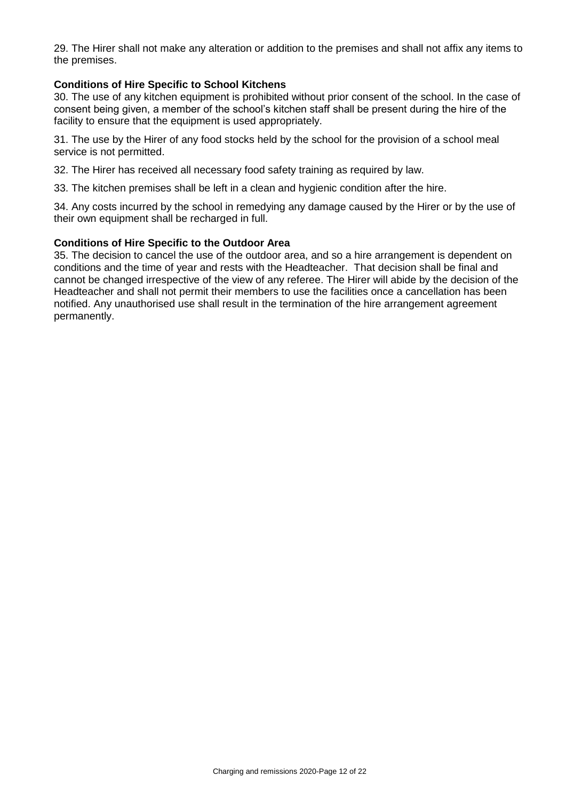29. The Hirer shall not make any alteration or addition to the premises and shall not affix any items to the premises.

#### **Conditions of Hire Specific to School Kitchens**

30. The use of any kitchen equipment is prohibited without prior consent of the school. In the case of consent being given, a member of the school's kitchen staff shall be present during the hire of the facility to ensure that the equipment is used appropriately.

31. The use by the Hirer of any food stocks held by the school for the provision of a school meal service is not permitted.

32. The Hirer has received all necessary food safety training as required by law.

33. The kitchen premises shall be left in a clean and hygienic condition after the hire.

34. Any costs incurred by the school in remedying any damage caused by the Hirer or by the use of their own equipment shall be recharged in full.

#### **Conditions of Hire Specific to the Outdoor Area**

35. The decision to cancel the use of the outdoor area, and so a hire arrangement is dependent on conditions and the time of year and rests with the Headteacher. That decision shall be final and cannot be changed irrespective of the view of any referee. The Hirer will abide by the decision of the Headteacher and shall not permit their members to use the facilities once a cancellation has been notified. Any unauthorised use shall result in the termination of the hire arrangement agreement permanently.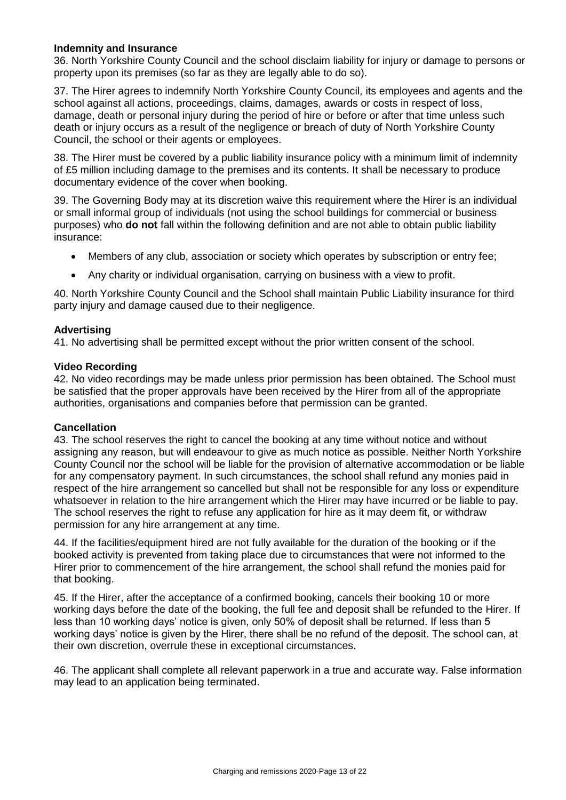### **Indemnity and Insurance**

36. North Yorkshire County Council and the school disclaim liability for injury or damage to persons or property upon its premises (so far as they are legally able to do so).

37. The Hirer agrees to indemnify North Yorkshire County Council, its employees and agents and the school against all actions, proceedings, claims, damages, awards or costs in respect of loss, damage, death or personal injury during the period of hire or before or after that time unless such death or injury occurs as a result of the negligence or breach of duty of North Yorkshire County Council, the school or their agents or employees.

38. The Hirer must be covered by a public liability insurance policy with a minimum limit of indemnity of £5 million including damage to the premises and its contents. It shall be necessary to produce documentary evidence of the cover when booking.

39. The Governing Body may at its discretion waive this requirement where the Hirer is an individual or small informal group of individuals (not using the school buildings for commercial or business purposes) who **do not** fall within the following definition and are not able to obtain public liability insurance:

- Members of any club, association or society which operates by subscription or entry fee;
- Any charity or individual organisation, carrying on business with a view to profit.

40. North Yorkshire County Council and the School shall maintain Public Liability insurance for third party injury and damage caused due to their negligence.

#### **Advertising**

41. No advertising shall be permitted except without the prior written consent of the school.

#### **Video Recording**

42. No video recordings may be made unless prior permission has been obtained. The School must be satisfied that the proper approvals have been received by the Hirer from all of the appropriate authorities, organisations and companies before that permission can be granted.

#### **Cancellation**

43. The school reserves the right to cancel the booking at any time without notice and without assigning any reason, but will endeavour to give as much notice as possible. Neither North Yorkshire County Council nor the school will be liable for the provision of alternative accommodation or be liable for any compensatory payment. In such circumstances, the school shall refund any monies paid in respect of the hire arrangement so cancelled but shall not be responsible for any loss or expenditure whatsoever in relation to the hire arrangement which the Hirer may have incurred or be liable to pay. The school reserves the right to refuse any application for hire as it may deem fit, or withdraw permission for any hire arrangement at any time.

44. If the facilities/equipment hired are not fully available for the duration of the booking or if the booked activity is prevented from taking place due to circumstances that were not informed to the Hirer prior to commencement of the hire arrangement, the school shall refund the monies paid for that booking.

45. If the Hirer, after the acceptance of a confirmed booking, cancels their booking 10 or more working days before the date of the booking, the full fee and deposit shall be refunded to the Hirer. If less than 10 working days' notice is given, only 50% of deposit shall be returned. If less than 5 working days' notice is given by the Hirer, there shall be no refund of the deposit. The school can, at their own discretion, overrule these in exceptional circumstances.

46. The applicant shall complete all relevant paperwork in a true and accurate way. False information may lead to an application being terminated.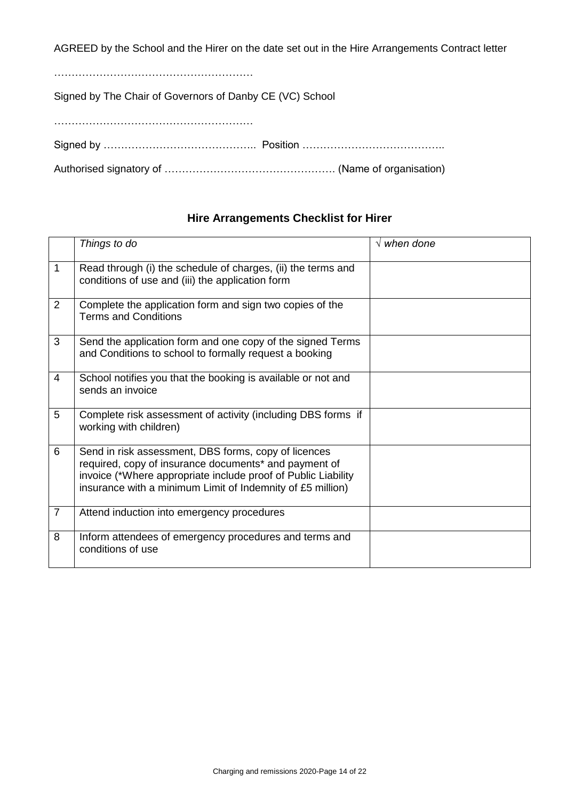AGREED by the School and the Hirer on the date set out in the Hire Arrangements Contract letter

…………………………………………………

Signed by The Chair of Governors of Danby CE (VC) School

…………………………………………………

Signed by …………………………………….. Position …………………………………..

Authorised signatory of …………………………………………. (Name of organisation)

# **Hire Arrangements Checklist for Hirer**

|                | Things to do                                                                                                                                                                                                                                 | $\sqrt{$ when done |
|----------------|----------------------------------------------------------------------------------------------------------------------------------------------------------------------------------------------------------------------------------------------|--------------------|
| 1              | Read through (i) the schedule of charges, (ii) the terms and<br>conditions of use and (iii) the application form                                                                                                                             |                    |
| $\overline{2}$ | Complete the application form and sign two copies of the<br><b>Terms and Conditions</b>                                                                                                                                                      |                    |
| 3              | Send the application form and one copy of the signed Terms<br>and Conditions to school to formally request a booking                                                                                                                         |                    |
| 4              | School notifies you that the booking is available or not and<br>sends an invoice                                                                                                                                                             |                    |
| 5              | Complete risk assessment of activity (including DBS forms if<br>working with children)                                                                                                                                                       |                    |
| 6              | Send in risk assessment, DBS forms, copy of licences<br>required, copy of insurance documents* and payment of<br>invoice (*Where appropriate include proof of Public Liability<br>insurance with a minimum Limit of Indemnity of £5 million) |                    |
| $\overline{7}$ | Attend induction into emergency procedures                                                                                                                                                                                                   |                    |
| 8              | Inform attendees of emergency procedures and terms and<br>conditions of use                                                                                                                                                                  |                    |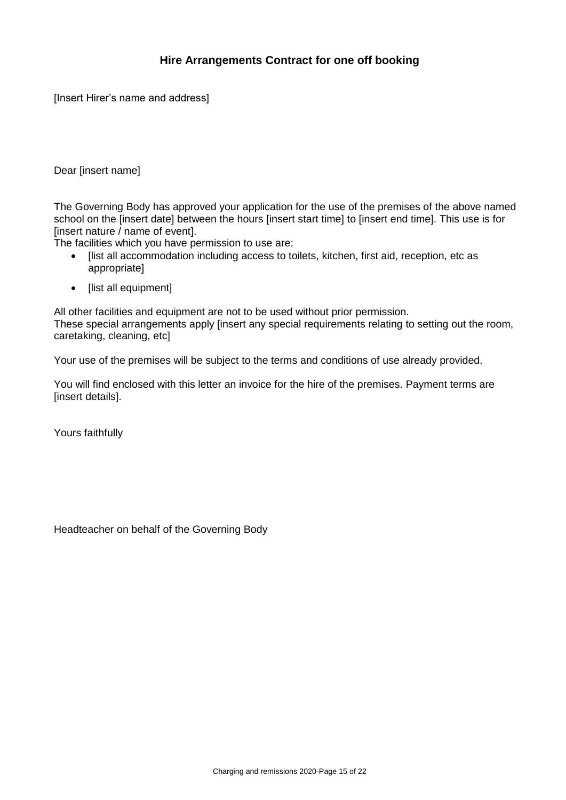# **Hire Arrangements Contract for one off booking**

[Insert Hirer's name and address]

### Dear [insert name]

The Governing Body has approved your application for the use of the premises of the above named school on the [insert date] between the hours [insert start time] to [insert end time]. This use is for [insert nature / name of event].

The facilities which you have permission to use are:

- [list all accommodation including access to toilets, kitchen, first aid, reception, etc as appropriate]
- [list all equipment]

All other facilities and equipment are not to be used without prior permission. These special arrangements apply [insert any special requirements relating to setting out the room, caretaking, cleaning, etc]

Your use of the premises will be subject to the terms and conditions of use already provided.

You will find enclosed with this letter an invoice for the hire of the premises. Payment terms are [insert details].

Yours faithfully

Headteacher on behalf of the Governing Body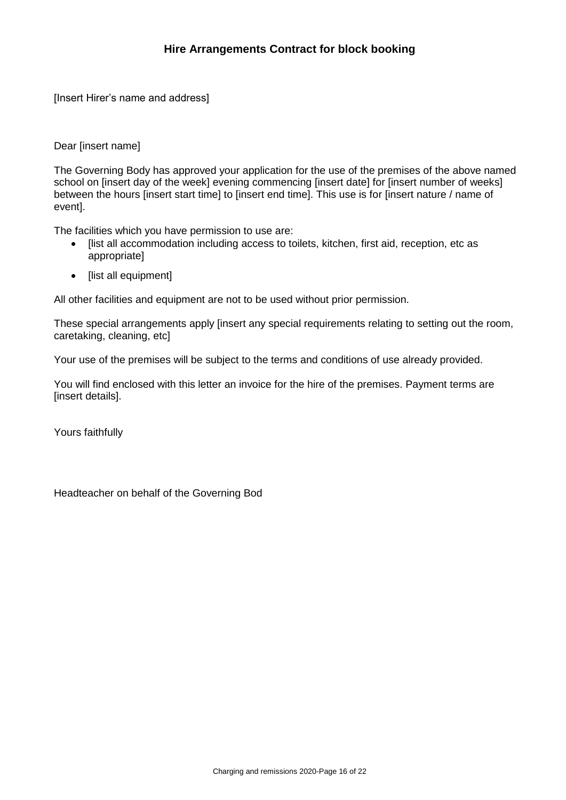[Insert Hirer's name and address]

Dear [insert name]

The Governing Body has approved your application for the use of the premises of the above named school on [insert day of the week] evening commencing [insert date] for [insert number of weeks] between the hours [insert start time] to [insert end time]. This use is for [insert nature / name of event].

The facilities which you have permission to use are:

- [list all accommodation including access to toilets, kitchen, first aid, reception, etc as appropriate]
- [list all equipment]

All other facilities and equipment are not to be used without prior permission.

These special arrangements apply [insert any special requirements relating to setting out the room, caretaking, cleaning, etc]

Your use of the premises will be subject to the terms and conditions of use already provided.

You will find enclosed with this letter an invoice for the hire of the premises. Payment terms are [insert details].

Yours faithfully

Headteacher on behalf of the Governing Bod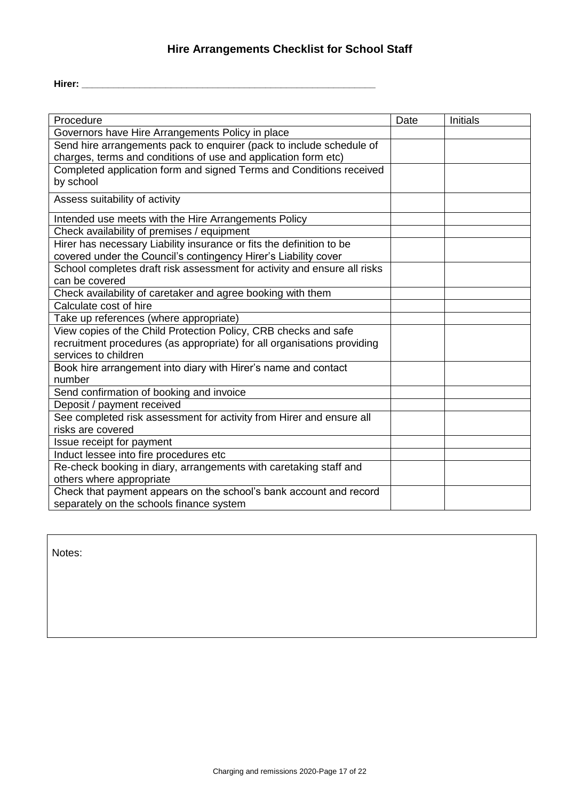# **Hire Arrangements Checklist for School Staff**

| Procedure                                                                | Date | Initials |
|--------------------------------------------------------------------------|------|----------|
| Governors have Hire Arrangements Policy in place                         |      |          |
| Send hire arrangements pack to enquirer (pack to include schedule of     |      |          |
| charges, terms and conditions of use and application form etc)           |      |          |
| Completed application form and signed Terms and Conditions received      |      |          |
| by school                                                                |      |          |
| Assess suitability of activity                                           |      |          |
| Intended use meets with the Hire Arrangements Policy                     |      |          |
| Check availability of premises / equipment                               |      |          |
| Hirer has necessary Liability insurance or fits the definition to be     |      |          |
| covered under the Council's contingency Hirer's Liability cover          |      |          |
| School completes draft risk assessment for activity and ensure all risks |      |          |
| can be covered                                                           |      |          |
| Check availability of caretaker and agree booking with them              |      |          |
| Calculate cost of hire                                                   |      |          |
| Take up references (where appropriate)                                   |      |          |
| View copies of the Child Protection Policy, CRB checks and safe          |      |          |
| recruitment procedures (as appropriate) for all organisations providing  |      |          |
| services to children                                                     |      |          |
| Book hire arrangement into diary with Hirer's name and contact           |      |          |
| number                                                                   |      |          |
| Send confirmation of booking and invoice                                 |      |          |
| Deposit / payment received                                               |      |          |
| See completed risk assessment for activity from Hirer and ensure all     |      |          |
| risks are covered                                                        |      |          |
| Issue receipt for payment                                                |      |          |
| Induct lessee into fire procedures etc                                   |      |          |
| Re-check booking in diary, arrangements with caretaking staff and        |      |          |
| others where appropriate                                                 |      |          |
| Check that payment appears on the school's bank account and record       |      |          |
| separately on the schools finance system                                 |      |          |

Notes: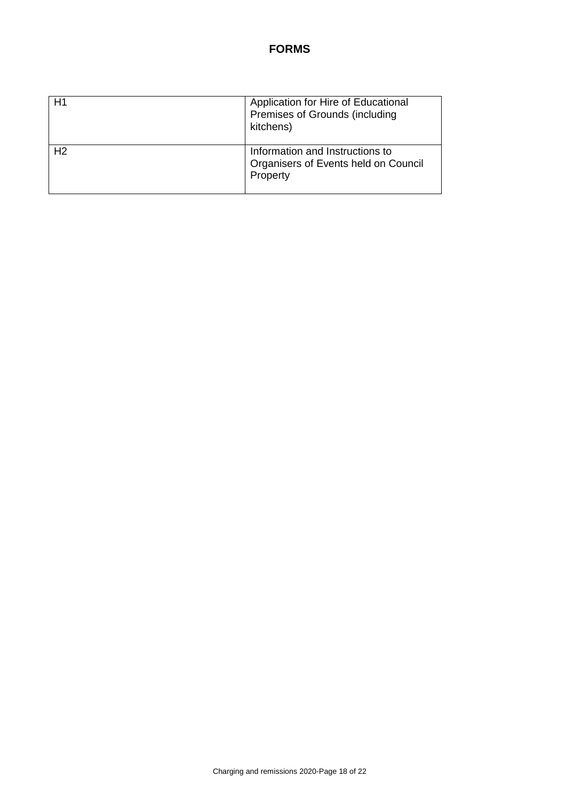# **FORMS**

| H <sub>1</sub> | Application for Hire of Educational<br>Premises of Grounds (including<br>kitchens)  |
|----------------|-------------------------------------------------------------------------------------|
| H <sub>2</sub> | Information and Instructions to<br>Organisers of Events held on Council<br>Property |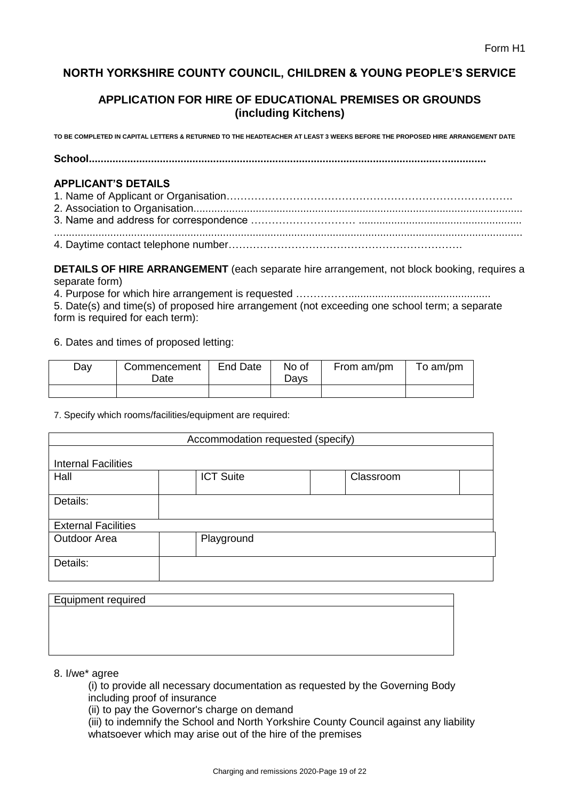# **NORTH YORKSHIRE COUNTY COUNCIL, CHILDREN & YOUNG PEOPLE'S SERVICE**

# **APPLICATION FOR HIRE OF EDUCATIONAL PREMISES OR GROUNDS (including Kitchens)**

**TO BE COMPLETED IN CAPITAL LETTERS & RETURNED TO THE HEADTEACHER AT LEAST 3 WEEKS BEFORE THE PROPOSED HIRE ARRANGEMENT DATE** 

**School......................................................................................................................................** 

# **APPLICANT'S DETAILS**

**DETAILS OF HIRE ARRANGEMENT** (each separate hire arrangement, not block booking, requires a separate form)

4. Purpose for which hire arrangement is requested ……………................................................

5. Date(s) and time(s) of proposed hire arrangement (not exceeding one school term; a separate form is required for each term):

6. Dates and times of proposed letting:

| Day | Commencement<br>Date | End Date | No of<br>Davs | From am/pm | To am/pm |
|-----|----------------------|----------|---------------|------------|----------|
|     |                      |          |               |            |          |

#### 7. Specify which rooms/facilities/equipment are required:

| Accommodation requested (specify) |                  |           |  |
|-----------------------------------|------------------|-----------|--|
| <b>Internal Facilities</b>        |                  |           |  |
| Hall                              | <b>ICT Suite</b> | Classroom |  |
| Details:                          |                  |           |  |
| <b>External Facilities</b>        |                  |           |  |
| <b>Outdoor Area</b>               | Playground       |           |  |
| Details:                          |                  |           |  |

| <b>Equipment required</b> |  |
|---------------------------|--|
|                           |  |
|                           |  |
|                           |  |
|                           |  |

### 8. I/we\* agree

(i) to provide all necessary documentation as requested by the Governing Body including proof of insurance

(ii) to pay the Governor's charge on demand

(iii) to indemnify the School and North Yorkshire County Council against any liability whatsoever which may arise out of the hire of the premises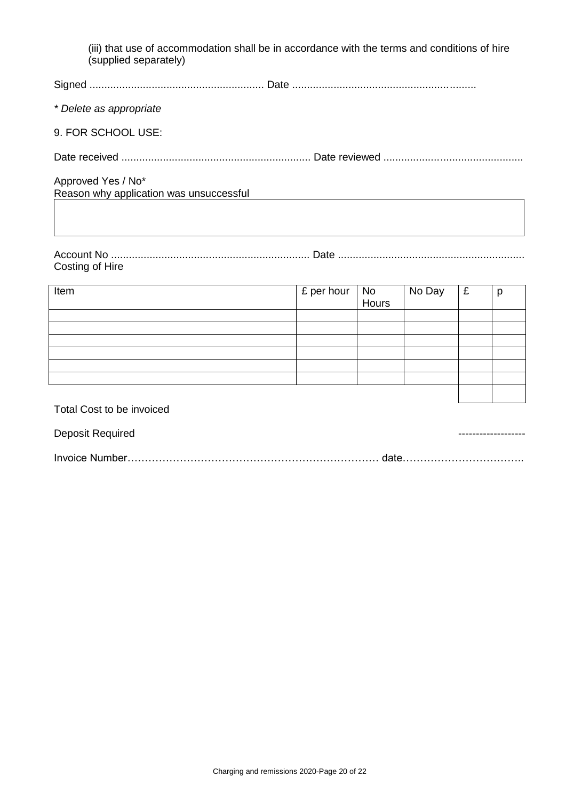| (iii) that use of accommodation shall be in accordance with the terms and conditions of hire<br>(supplied separately) |
|-----------------------------------------------------------------------------------------------------------------------|
|                                                                                                                       |
| * Delete as appropriate                                                                                               |
| 9. FOR SCHOOL USE:                                                                                                    |
|                                                                                                                       |
| Approved Yes / No*<br>Reason why application was unsuccessful                                                         |

| Costing of Hire |  |
|-----------------|--|

| Item                                                      | £ per hour | l No<br>Hours | No Day | £ | p |
|-----------------------------------------------------------|------------|---------------|--------|---|---|
|                                                           |            |               |        |   |   |
|                                                           |            |               |        |   |   |
|                                                           |            |               |        |   |   |
|                                                           |            |               |        |   |   |
|                                                           |            |               |        |   |   |
|                                                           |            |               |        |   |   |
|                                                           |            |               |        |   |   |
| $T_{\text{total}}$ $O_{\text{total}}$ is the limitational |            |               |        |   |   |

| Total Cost to be invoiced |  |
|---------------------------|--|
| Deposit Required          |  |
|                           |  |